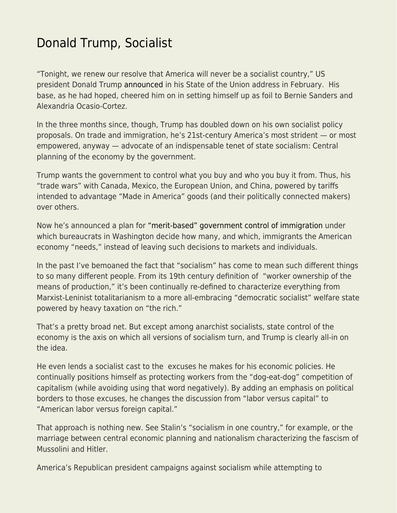## [Donald Trump, Socialist](https://everything-voluntary.com/donald-trump-socialist)

"Tonight, we renew our resolve that America will never be a socialist country," US president Donald Trump [announced](https://www.cnbc.com/2019/02/06/trump-warns-of-socialism-in-state-of-the-union-as-2020-election-starts.html) in his State of the Union address in February. His base, as he had hoped, cheered him on in setting himself up as foil to Bernie Sanders and Alexandria Ocasio-Cortez.

In the three months since, though, Trump has doubled down on his own socialist policy proposals. On trade and immigration, he's 21st-century America's most strident — or most empowered, anyway — advocate of an indispensable tenet of state socialism: Central planning of the economy by the government.

Trump wants the government to control what you buy and who you buy it from. Thus, his "trade wars" with Canada, Mexico, the European Union, and China, powered by tariffs intended to advantage "Made in America" goods (and their politically connected makers) over others.

Now he's announced a plan for ["merit-based" government control of immigration](https://www.foxnews.com/politics/president-trump-unveils-sweeping-plan-to-transform-americas-immigration-system) under which bureaucrats in Washington decide how many, and which, immigrants the American economy "needs," instead of leaving such decisions to markets and individuals.

In the past I've bemoaned the fact that "socialism" has come to mean such different things to so many different people. From its 19th century definition of "worker ownership of the means of production," it's been continually re-defined to characterize everything from Marxist-Leninist totalitarianism to a more all-embracing "democratic socialist" welfare state powered by heavy taxation on "the rich."

That's a pretty broad net. But except among anarchist socialists, state control of the economy is the axis on which all versions of socialism turn, and Trump is clearly all-in on the idea.

He even lends a socialist cast to the excuses he makes for his economic policies. He continually positions himself as protecting workers from the "dog-eat-dog" competition of capitalism (while avoiding using that word negatively). By adding an emphasis on political borders to those excuses, he changes the discussion from "labor versus capital" to "American labor versus foreign capital."

That approach is nothing new. See Stalin's "socialism in one country," for example, or the marriage between central economic planning and nationalism characterizing the fascism of Mussolini and Hitler.

America's Republican president campaigns against socialism while attempting to